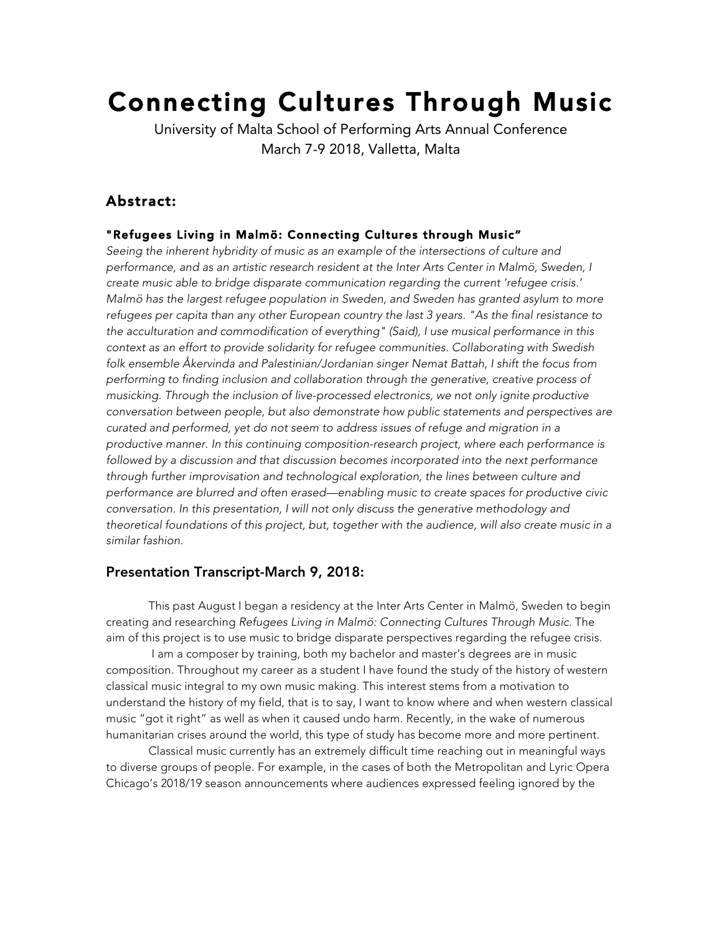# Connecting Cultures Through Music

University of Malta School of Performing Arts Annual Conference March 7-9 2018, Valletta, Malta

## Abstract:

#### "Refugees Living in Malmö: Connecting Cultures through Music"

*Seeing the inherent hybridity of music as an example of the intersections of culture and performance, and as an artistic research resident at the Inter Arts Center in Malmö, Sweden, I create music able to bridge disparate communication regarding the current 'refugee crisis.' Malmö has the largest refugee population in Sweden, and Sweden has granted asylum to more refugees per capita than any other European country the last 3 years. "As the final resistance to the acculturation and commodification of everything" (Said), I use musical performance in this context as an effort to provide solidarity for refugee communities. Collaborating with Swedish folk ensemble Åkervinda and Palestinian/Jordanian singer Nemat Battah, I shift the focus from performing to finding inclusion and collaboration through the generative, creative process of musicking. Through the inclusion of live-processed electronics, we not only ignite productive conversation between people, but also demonstrate how public statements and perspectives are curated and performed, yet do not seem to address issues of refuge and migration in a productive manner. In this continuing composition-research project, where each performance is followed by a discussion and that discussion becomes incorporated into the next performance through further improvisation and technological exploration, the lines between culture and performance are blurred and often erased—enabling music to create spaces for productive civic conversation. In this presentation, I will not only discuss the generative methodology and theoretical foundations of this project, but, together with the audience, will also create music in a similar fashion.*

### Presentation Transcript-March 9, 2018:

This past August I began a residency at the Inter Arts Center in Malmö, Sweden to begin creating and researching *Refugees Living in Malmö: Connecting Cultures Through Music.* The aim of this project is to use music to bridge disparate perspectives regarding the refugee crisis.

I am a composer by training, both my bachelor and master's degrees are in music composition. Throughout my career as a student I have found the study of the history of western classical music integral to my own music making. This interest stems from a motivation to understand the history of my field, that is to say, I want to know where and when western classical music "got it right" as well as when it caused undo harm. Recently, in the wake of numerous humanitarian crises around the world, this type of study has become more and more pertinent.

Classical music currently has an extremely difficult time reaching out in meaningful ways to diverse groups of people. For example, in the cases of both the Metropolitan and Lyric Opera Chicago's 2018/19 season announcements where audiences expressed feeling ignored by the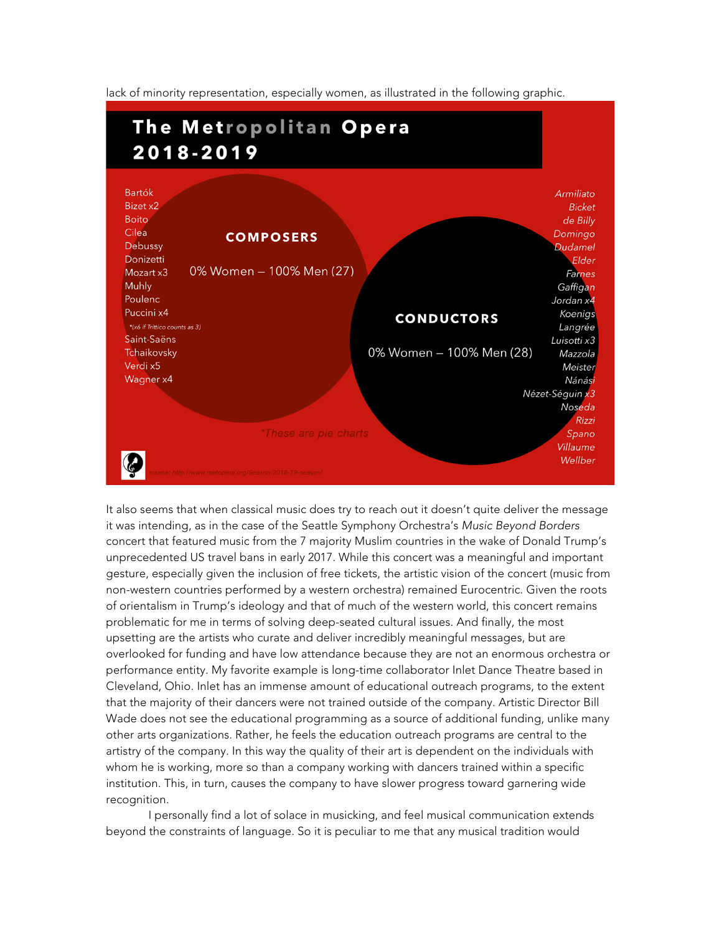lack of minority representation, especially women, as illustrated in the following graphic.



It also seems that when classical music does try to reach out it doesn't quite deliver the message it was intending, as in the case of the Seattle Symphony Orchestra's *Music Beyond Borders*  concert that featured music from the 7 majority Muslim countries in the wake of Donald Trump's unprecedented US travel bans in early 2017. While this concert was a meaningful and important gesture, especially given the inclusion of free tickets, the artistic vision of the concert (music from non-western countries performed by a western orchestra) remained Eurocentric. Given the roots of orientalism in Trump's ideology and that of much of the western world, this concert remains problematic for me in terms of solving deep-seated cultural issues. And finally, the most upsetting are the artists who curate and deliver incredibly meaningful messages, but are overlooked for funding and have low attendance because they are not an enormous orchestra or performance entity. My favorite example is long-time collaborator Inlet Dance Theatre based in Cleveland, Ohio. Inlet has an immense amount of educational outreach programs, to the extent that the majority of their dancers were not trained outside of the company. Artistic Director Bill Wade does not see the educational programming as a source of additional funding, unlike many other arts organizations. Rather, he feels the education outreach programs are central to the artistry of the company. In this way the quality of their art is dependent on the individuals with whom he is working, more so than a company working with dancers trained within a specific institution. This, in turn, causes the company to have slower progress toward garnering wide recognition.

I personally find a lot of solace in musicking, and feel musical communication extends beyond the constraints of language. So it is peculiar to me that any musical tradition would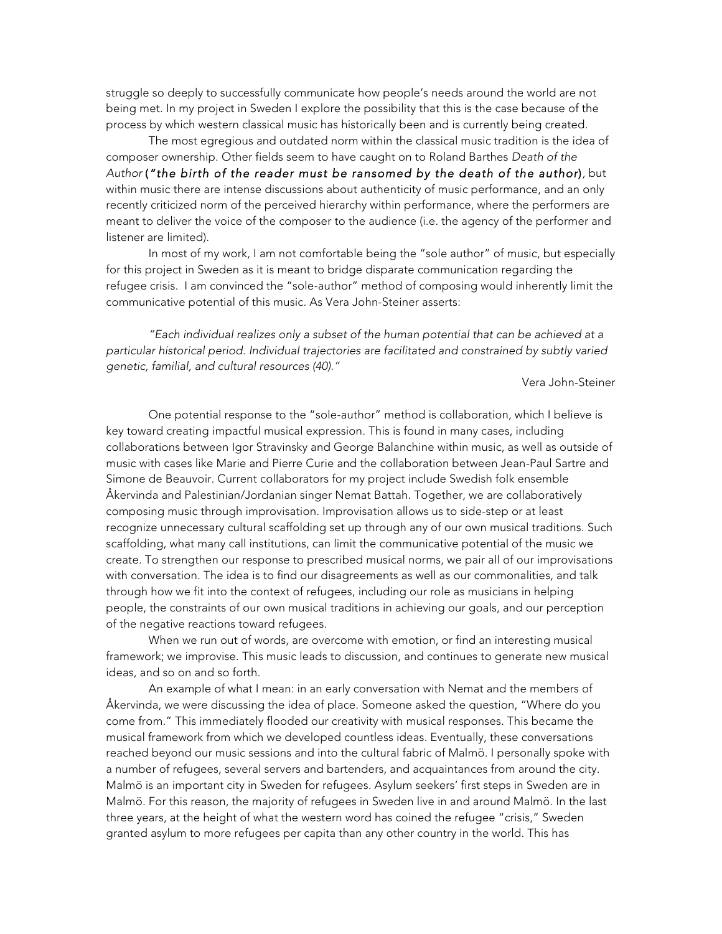struggle so deeply to successfully communicate how people's needs around the world are not being met. In my project in Sweden I explore the possibility that this is the case because of the process by which western classical music has historically been and is currently being created.

The most egregious and outdated norm within the classical music tradition is the idea of composer ownership. Other fields seem to have caught on to Roland Barthes *Death of the Author* (*"the birth of the reader must be ransomed by the death of the author*)*,* but within music there are intense discussions about authenticity of music performance, and an only recently criticized norm of the perceived hierarchy within performance, where the performers are meant to deliver the voice of the composer to the audience (i.e. the agency of the performer and listener are limited).

In most of my work*,* I am not comfortable being the "sole author" of music, but especially for this project in Sweden as it is meant to bridge disparate communication regarding the refugee crisis. I am convinced the "sole-author" method of composing would inherently limit the communicative potential of this music. As Vera John-Steiner asserts:

*"Each individual realizes only a subset of the human potential that can be achieved at a particular historical period. Individual trajectories are facilitated and constrained by subtly varied genetic, familial, and cultural resources (40)."*

Vera John-Steiner

One potential response to the "sole-author" method is collaboration, which I believe is key toward creating impactful musical expression. This is found in many cases, including collaborations between Igor Stravinsky and George Balanchine within music, as well as outside of music with cases like Marie and Pierre Curie and the collaboration between Jean-Paul Sartre and Simone de Beauvoir. Current collaborators for my project include Swedish folk ensemble Åkervinda and Palestinian/Jordanian singer Nemat Battah. Together, we are collaboratively composing music through improvisation. Improvisation allows us to side-step or at least recognize unnecessary cultural scaffolding set up through any of our own musical traditions. Such scaffolding, what many call institutions, can limit the communicative potential of the music we create. To strengthen our response to prescribed musical norms, we pair all of our improvisations with conversation. The idea is to find our disagreements as well as our commonalities, and talk through how we fit into the context of refugees, including our role as musicians in helping people, the constraints of our own musical traditions in achieving our goals, and our perception of the negative reactions toward refugees.

When we run out of words, are overcome with emotion, or find an interesting musical framework; we improvise. This music leads to discussion, and continues to generate new musical ideas, and so on and so forth.

An example of what I mean: in an early conversation with Nemat and the members of Åkervinda, we were discussing the idea of place. Someone asked the question, "Where do you come from." This immediately flooded our creativity with musical responses. This became the musical framework from which we developed countless ideas. Eventually, these conversations reached beyond our music sessions and into the cultural fabric of Malmö. I personally spoke with a number of refugees, several servers and bartenders, and acquaintances from around the city. Malmö is an important city in Sweden for refugees. Asylum seekers' first steps in Sweden are in Malmö. For this reason, the majority of refugees in Sweden live in and around Malmö. In the last three years, at the height of what the western word has coined the refugee "crisis," Sweden granted asylum to more refugees per capita than any other country in the world. This has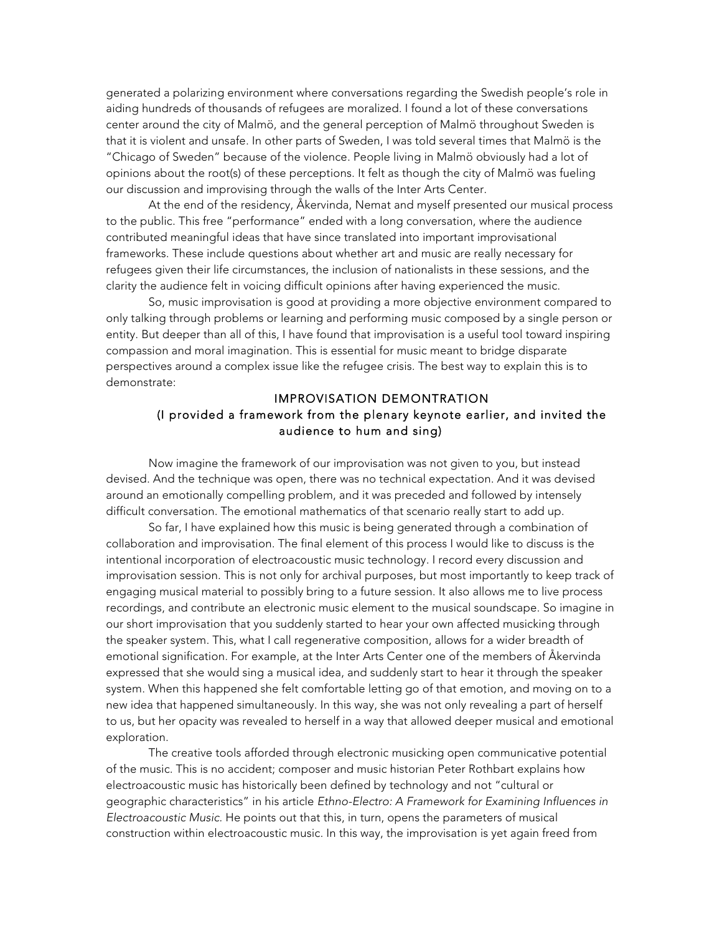generated a polarizing environment where conversations regarding the Swedish people's role in aiding hundreds of thousands of refugees are moralized. I found a lot of these conversations center around the city of Malmö, and the general perception of Malmö throughout Sweden is that it is violent and unsafe. In other parts of Sweden, I was told several times that Malmö is the "Chicago of Sweden" because of the violence. People living in Malmö obviously had a lot of opinions about the root(s) of these perceptions. It felt as though the city of Malmö was fueling our discussion and improvising through the walls of the Inter Arts Center.

At the end of the residency, Åkervinda, Nemat and myself presented our musical process to the public. This free "performance" ended with a long conversation, where the audience contributed meaningful ideas that have since translated into important improvisational frameworks. These include questions about whether art and music are really necessary for refugees given their life circumstances, the inclusion of nationalists in these sessions, and the clarity the audience felt in voicing difficult opinions after having experienced the music.

So, music improvisation is good at providing a more objective environment compared to only talking through problems or learning and performing music composed by a single person or entity. But deeper than all of this, I have found that improvisation is a useful tool toward inspiring compassion and moral imagination. This is essential for music meant to bridge disparate perspectives around a complex issue like the refugee crisis. The best way to explain this is to demonstrate:

#### IMPROVISATION DEMONTRATION (I provided a framework from the plenary keynote earlier, and invited the audience to hum and sing)

Now imagine the framework of our improvisation was not given to you, but instead devised. And the technique was open, there was no technical expectation. And it was devised around an emotionally compelling problem, and it was preceded and followed by intensely difficult conversation. The emotional mathematics of that scenario really start to add up.

So far, I have explained how this music is being generated through a combination of collaboration and improvisation. The final element of this process I would like to discuss is the intentional incorporation of electroacoustic music technology. I record every discussion and improvisation session. This is not only for archival purposes, but most importantly to keep track of engaging musical material to possibly bring to a future session. It also allows me to live process recordings, and contribute an electronic music element to the musical soundscape. So imagine in our short improvisation that you suddenly started to hear your own affected musicking through the speaker system. This, what I call regenerative composition, allows for a wider breadth of emotional signification. For example, at the Inter Arts Center one of the members of Åkervinda expressed that she would sing a musical idea, and suddenly start to hear it through the speaker system. When this happened she felt comfortable letting go of that emotion, and moving on to a new idea that happened simultaneously. In this way, she was not only revealing a part of herself to us, but her opacity was revealed to herself in a way that allowed deeper musical and emotional exploration.

The creative tools afforded through electronic musicking open communicative potential of the music. This is no accident; composer and music historian Peter Rothbart explains how electroacoustic music has historically been defined by technology and not "cultural or geographic characteristics" in his article *Ethno-Electro: A Framework for Examining Influences in Electroacoustic Music.* He points out that this, in turn, opens the parameters of musical construction within electroacoustic music. In this way, the improvisation is yet again freed from